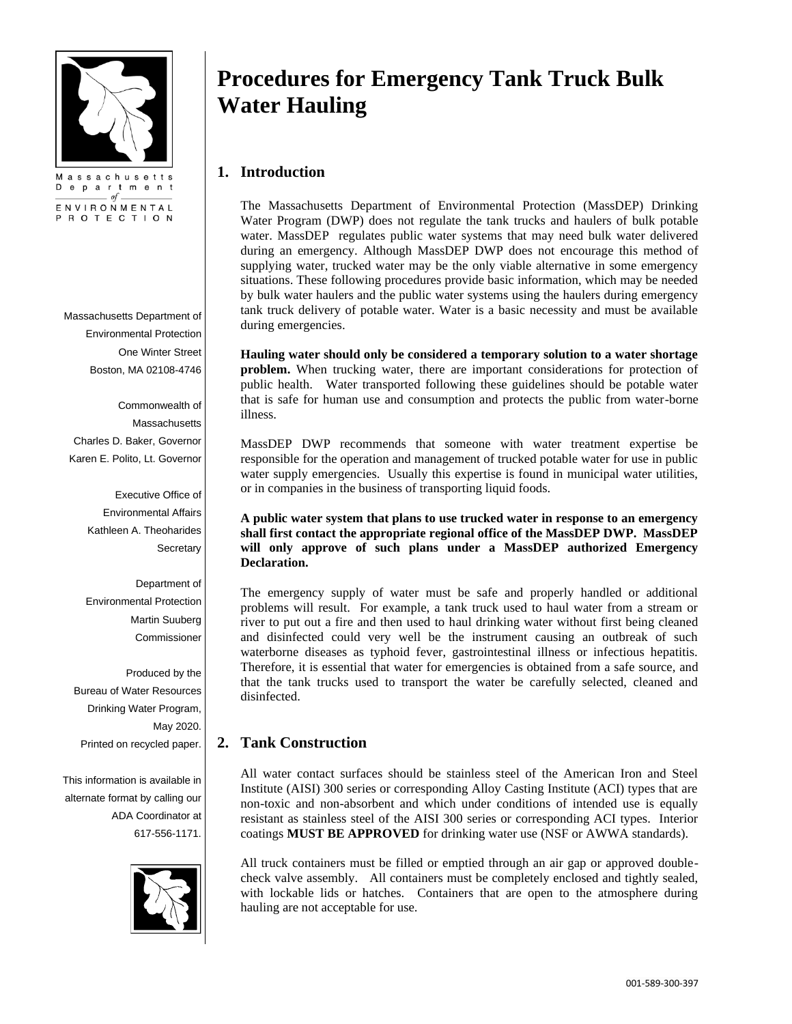

ENVIRONMENTAL PROTECTION

Massachusetts Department of Environmental Protection One Winter Street Boston, MA 02108-4746

Commonwealth of **Massachusetts** Charles D. Baker, Governor Karen E. Polito, Lt. Governor

> Executive Office of Environmental Affairs Kathleen A. Theoharides **Secretary**

> Department of Environmental Protection Martin Suuberg Commissioner

Produced by the Bureau of Water Resources Drinking Water Program, May 2020. Printed on recycled paper.

This information is available in alternate format by calling our ADA Coordinator at 617-556-1171.



# **Procedures for Emergency Tank Truck Bulk Water Hauling**

# **1. Introduction**

The Massachusetts Department of Environmental Protection (MassDEP) Drinking Water Program (DWP) does not regulate the tank trucks and haulers of bulk potable water. MassDEP regulates public water systems that may need bulk water delivered during an emergency. Although MassDEP DWP does not encourage this method of supplying water, trucked water may be the only viable alternative in some emergency situations. These following procedures provide basic information, which may be needed by bulk water haulers and the public water systems using the haulers during emergency tank truck delivery of potable water. Water is a basic necessity and must be available during emergencies.

**Hauling water should only be considered a temporary solution to a water shortage problem.** When trucking water, there are important considerations for protection of public health. Water transported following these guidelines should be potable water that is safe for human use and consumption and protects the public from water-borne illness.

MassDEP DWP recommends that someone with water treatment expertise be responsible for the operation and management of trucked potable water for use in public water supply emergencies. Usually this expertise is found in municipal water utilities, or in companies in the business of transporting liquid foods.

#### **A public water system that plans to use trucked water in response to an emergency shall first contact the appropriate regional office of the MassDEP DWP. MassDEP will only approve of such plans under a MassDEP authorized Emergency Declaration.**

The emergency supply of water must be safe and properly handled or additional problems will result. For example, a tank truck used to haul water from a stream or river to put out a fire and then used to haul drinking water without first being cleaned and disinfected could very well be the instrument causing an outbreak of such waterborne diseases as typhoid fever, gastrointestinal illness or infectious hepatitis. Therefore, it is essential that water for emergencies is obtained from a safe source, and that the tank trucks used to transport the water be carefully selected, cleaned and disinfected.

# **2. Tank Construction**

All water contact surfaces should be stainless steel of the American Iron and Steel Institute (AISI) 300 series or corresponding Alloy Casting Institute (ACI) types that are non-toxic and non-absorbent and which under conditions of intended use is equally resistant as stainless steel of the AISI 300 series or corresponding ACI types. Interior coatings **MUST BE APPROVED** for drinking water use (NSF or AWWA standards).

All truck containers must be filled or emptied through an air gap or approved doublecheck valve assembly. All containers must be completely enclosed and tightly sealed, with lockable lids or hatches. Containers that are open to the atmosphere during hauling are not acceptable for use.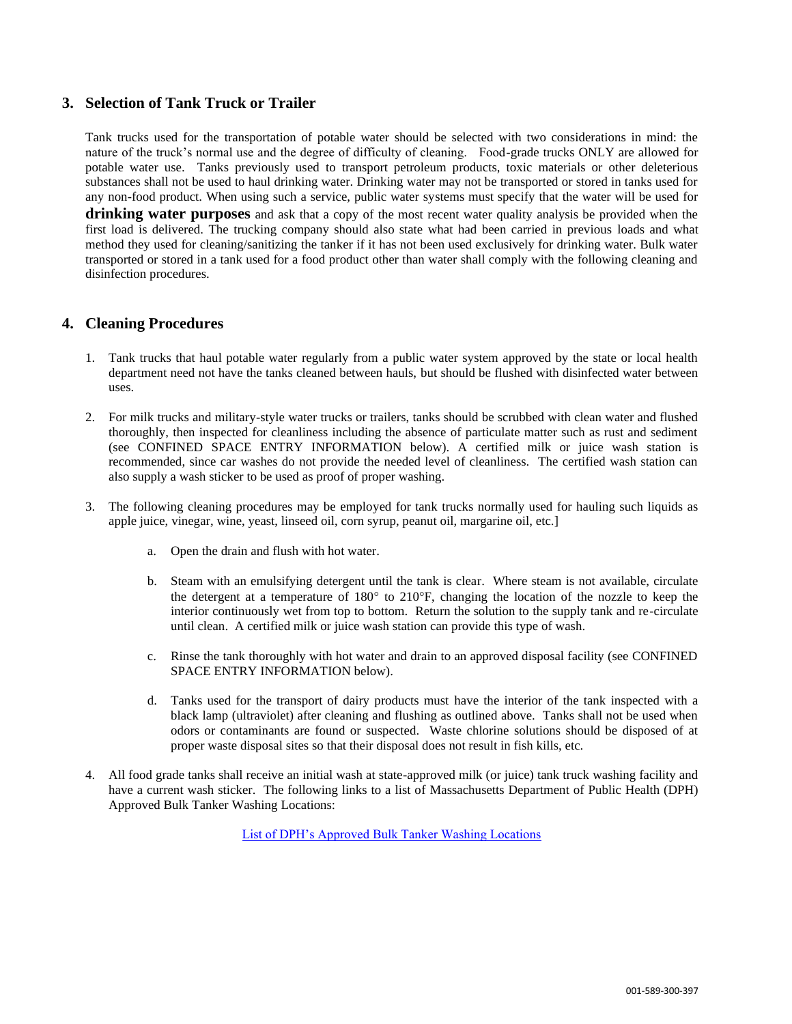## **3. Selection of Tank Truck or Trailer**

Tank trucks used for the transportation of potable water should be selected with two considerations in mind: the nature of the truck's normal use and the degree of difficulty of cleaning. Food-grade trucks ONLY are allowed for potable water use. Tanks previously used to transport petroleum products, toxic materials or other deleterious substances shall not be used to haul drinking water. Drinking water may not be transported or stored in tanks used for any non-food product. When using such a service, public water systems must specify that the water will be used for **drinking water purposes** and ask that a copy of the most recent water quality analysis be provided when the first load is delivered. The trucking company should also state what had been carried in previous loads and what method they used for cleaning/sanitizing the tanker if it has not been used exclusively for drinking water. Bulk water transported or stored in a tank used for a food product other than water shall comply with the following cleaning and disinfection procedures.

# **4. Cleaning Procedures**

- 1. Tank trucks that haul potable water regularly from a public water system approved by the state or local health department need not have the tanks cleaned between hauls, but should be flushed with disinfected water between uses.
- 2. For milk trucks and military-style water trucks or trailers, tanks should be scrubbed with clean water and flushed thoroughly, then inspected for cleanliness including the absence of particulate matter such as rust and sediment (see CONFINED SPACE ENTRY INFORMATION below). A certified milk or juice wash station is recommended, since car washes do not provide the needed level of cleanliness. The certified wash station can also supply a wash sticker to be used as proof of proper washing.
- 3. The following cleaning procedures may be employed for tank trucks normally used for hauling such liquids as apple juice, vinegar, wine, yeast, linseed oil, corn syrup, peanut oil, margarine oil, etc.]
	- a. Open the drain and flush with hot water.
	- b. Steam with an emulsifying detergent until the tank is clear. Where steam is not available, circulate the detergent at a temperature of  $180^{\circ}$  to  $210^{\circ}$ F, changing the location of the nozzle to keep the interior continuously wet from top to bottom. Return the solution to the supply tank and re-circulate until clean. A certified milk or juice wash station can provide this type of wash.
	- c. Rinse the tank thoroughly with hot water and drain to an approved disposal facility (see CONFINED SPACE ENTRY INFORMATION below).
	- d. Tanks used for the transport of dairy products must have the interior of the tank inspected with a black lamp (ultraviolet) after cleaning and flushing as outlined above. Tanks shall not be used when odors or contaminants are found or suspected. Waste chlorine solutions should be disposed of at proper waste disposal sites so that their disposal does not result in fish kills, etc.
- 4. All food grade tanks shall receive an initial wash at state-approved milk (or juice) tank truck washing facility and have a current wash sticker. The following links to a list of Massachusetts Department of Public Health (DPH) Approved Bulk Tanker Washing Locations:

[List of DPH's Approved Bulk Tanker Washing Locations](https://www.mass.gov/doc/massachusetts-department-of-public-health-approved-bulk-tanker-washing-locations)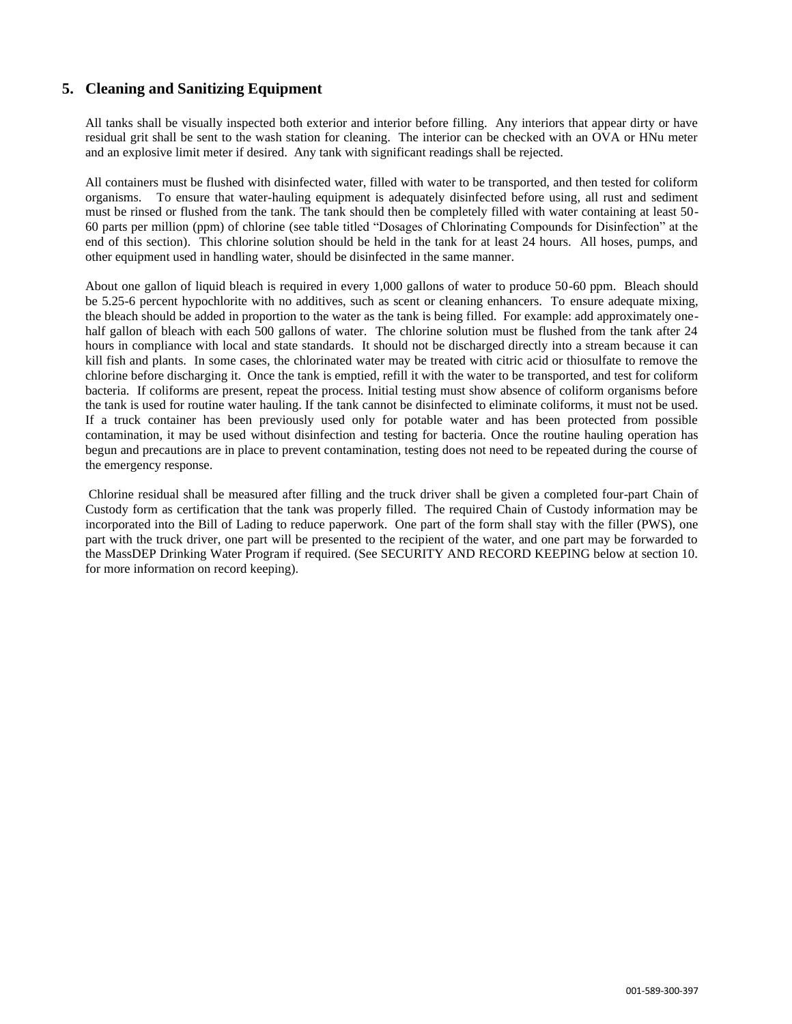# **5. Cleaning and Sanitizing Equipment**

All tanks shall be visually inspected both exterior and interior before filling. Any interiors that appear dirty or have residual grit shall be sent to the wash station for cleaning. The interior can be checked with an OVA or HNu meter and an explosive limit meter if desired. Any tank with significant readings shall be rejected.

All containers must be flushed with disinfected water, filled with water to be transported, and then tested for coliform organisms. To ensure that water-hauling equipment is adequately disinfected before using, all rust and sediment must be rinsed or flushed from the tank. The tank should then be completely filled with water containing at least 50- 60 parts per million (ppm) of chlorine (see table titled "Dosages of Chlorinating Compounds for Disinfection" at the end of this section). This chlorine solution should be held in the tank for at least 24 hours. All hoses, pumps, and other equipment used in handling water, should be disinfected in the same manner.

About one gallon of liquid bleach is required in every 1,000 gallons of water to produce 50-60 ppm. Bleach should be 5.25-6 percent hypochlorite with no additives, such as scent or cleaning enhancers. To ensure adequate mixing, the bleach should be added in proportion to the water as the tank is being filled. For example: add approximately onehalf gallon of bleach with each 500 gallons of water. The chlorine solution must be flushed from the tank after 24 hours in compliance with local and state standards. It should not be discharged directly into a stream because it can kill fish and plants. In some cases, the chlorinated water may be treated with citric acid or thiosulfate to remove the chlorine before discharging it. Once the tank is emptied, refill it with the water to be transported, and test for coliform bacteria. If coliforms are present, repeat the process. Initial testing must show absence of coliform organisms before the tank is used for routine water hauling. If the tank cannot be disinfected to eliminate coliforms, it must not be used. If a truck container has been previously used only for potable water and has been protected from possible contamination, it may be used without disinfection and testing for bacteria. Once the routine hauling operation has begun and precautions are in place to prevent contamination, testing does not need to be repeated during the course of the emergency response.

Chlorine residual shall be measured after filling and the truck driver shall be given a completed four-part Chain of Custody form as certification that the tank was properly filled. The required Chain of Custody information may be incorporated into the Bill of Lading to reduce paperwork. One part of the form shall stay with the filler (PWS), one part with the truck driver, one part will be presented to the recipient of the water, and one part may be forwarded to the MassDEP Drinking Water Program if required. (See SECURITY AND RECORD KEEPING below at section 10. for more information on record keeping).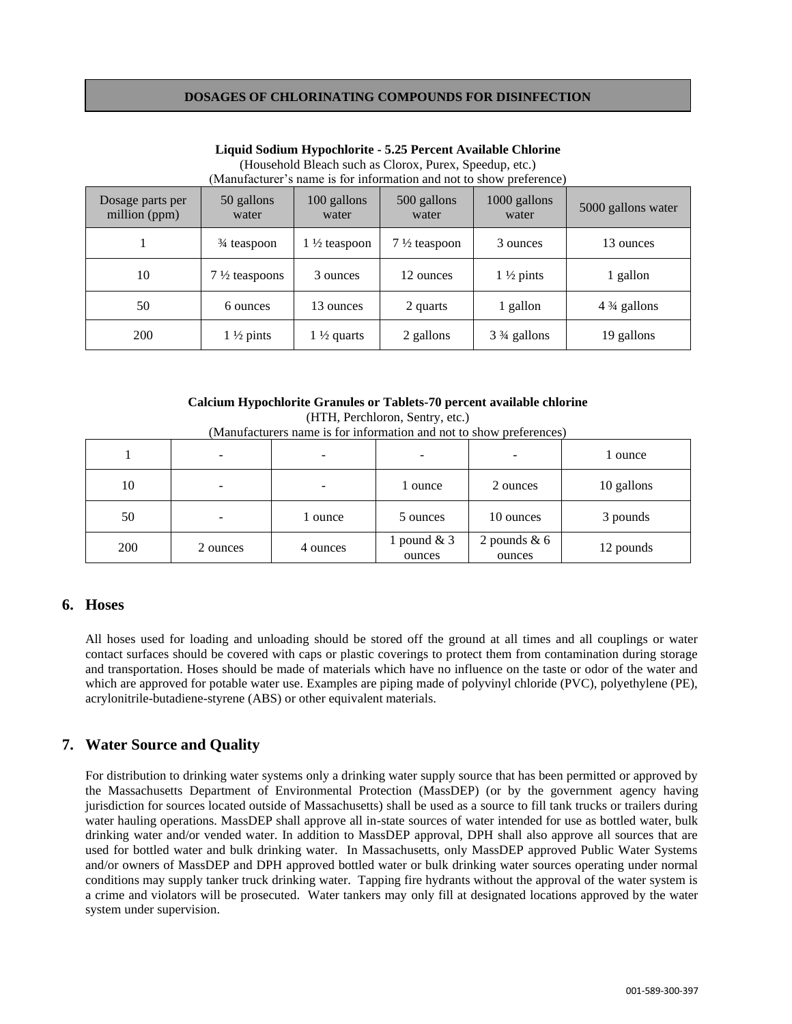#### **DOSAGES OF CHLORINATING COMPOUNDS FOR DISINFECTION**

| Dosage parts per<br>million (ppm) | 50 gallons<br>water      | 100 gallons<br>water    | 500 gallons<br>water    | 1000 gallons<br>water                 | 5000 gallons water     |
|-----------------------------------|--------------------------|-------------------------|-------------------------|---------------------------------------|------------------------|
|                                   | $\frac{3}{4}$ teaspoon   | $1\frac{1}{2}$ teaspoon | $7\frac{1}{2}$ teaspoon | 3 ounces                              | 13 ounces              |
| 10                                | $7\frac{1}{2}$ teaspoons | 3 ounces                | 12 ounces               | $1\frac{1}{2}$ pints                  | 1 gallon               |
| 50                                | 6 ounces                 | 13 ounces               | 2 quarts                | 1 gallon                              | $4\frac{3}{4}$ gallons |
| 200                               | $1\frac{1}{2}$ pints     | 1 $\frac{1}{2}$ quarts  | 2 gallons               | 3 <sup>3</sup> / <sub>4</sub> gallons | 19 gallons             |

#### **Liquid Sodium Hypochlorite - 5.25 Percent Available Chlorine** (Household Bleach such as Clorox, Purex, Speedup, etc.) (Manufacturer's name is for information and not to show preference)

#### **Calcium Hypochlorite Granules or Tablets-70 percent available chlorine**

| $(manutacuters name is for information and not to show preferences)$ |          |          |                         |                          |            |  |  |  |
|----------------------------------------------------------------------|----------|----------|-------------------------|--------------------------|------------|--|--|--|
|                                                                      |          | -        | -                       |                          | 1 ounce    |  |  |  |
| 10                                                                   |          |          | 1 ounce                 | 2 ounces                 | 10 gallons |  |  |  |
| 50                                                                   |          | 1 ounce  | 5 ounces                | 10 ounces                | 3 pounds   |  |  |  |
| 200                                                                  | 2 ounces | 4 ounces | 1 pound $& 3$<br>ounces | 2 pounds $& 6$<br>ounces | 12 pounds  |  |  |  |

(HTH, Perchloron, Sentry, etc.) (Manufacturers name is for information and not to show preferences)

## **6. Hoses**

All hoses used for loading and unloading should be stored off the ground at all times and all couplings or water contact surfaces should be covered with caps or plastic coverings to protect them from contamination during storage and transportation. Hoses should be made of materials which have no influence on the taste or odor of the water and which are approved for potable water use. Examples are piping made of polyvinyl chloride (PVC), polyethylene (PE), acrylonitrile-butadiene-styrene (ABS) or other equivalent materials.

## **7. Water Source and Quality**

For distribution to drinking water systems only a drinking water supply source that has been permitted or approved by the Massachusetts Department of Environmental Protection (MassDEP) (or by the government agency having jurisdiction for sources located outside of Massachusetts) shall be used as a source to fill tank trucks or trailers during water hauling operations. MassDEP shall approve all in-state sources of water intended for use as bottled water, bulk drinking water and/or vended water. In addition to MassDEP approval, DPH shall also approve all sources that are used for bottled water and bulk drinking water. In Massachusetts, only MassDEP approved Public Water Systems and/or owners of MassDEP and DPH approved bottled water or bulk drinking water sources operating under normal conditions may supply tanker truck drinking water. Tapping fire hydrants without the approval of the water system is a crime and violators will be prosecuted. Water tankers may only fill at designated locations approved by the water system under supervision.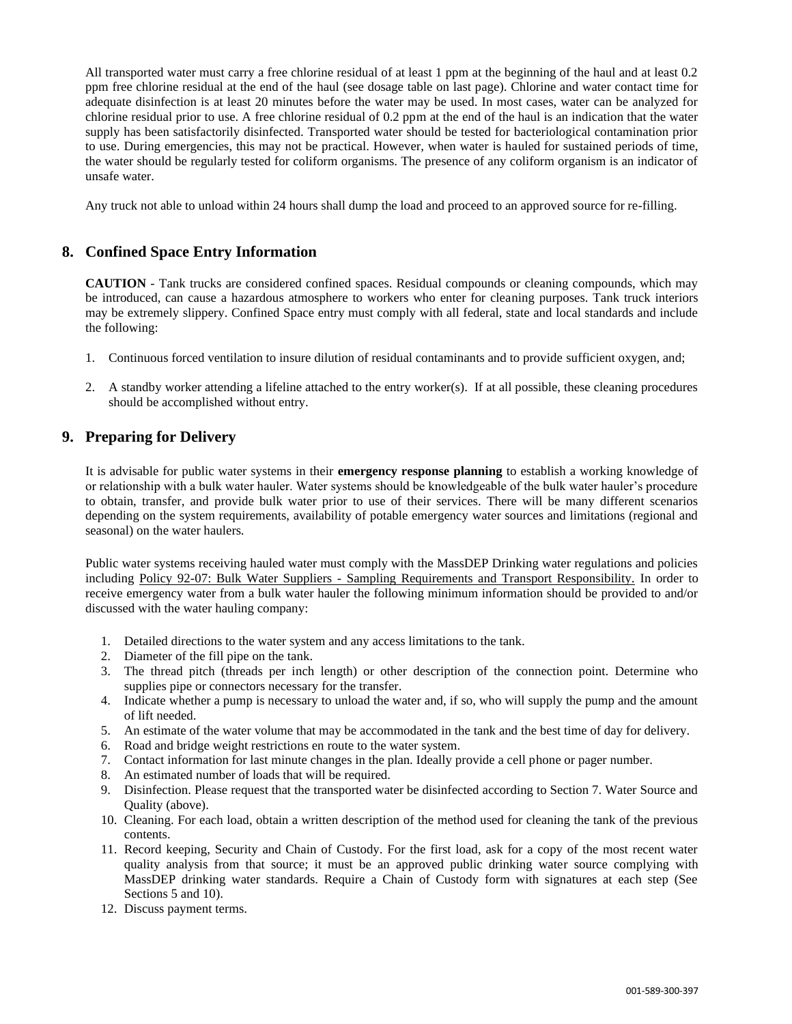All transported water must carry a free chlorine residual of at least 1 ppm at the beginning of the haul and at least 0.2 ppm free chlorine residual at the end of the haul (see dosage table on last page). Chlorine and water contact time for adequate disinfection is at least 20 minutes before the water may be used. In most cases, water can be analyzed for chlorine residual prior to use. A free chlorine residual of 0.2 ppm at the end of the haul is an indication that the water supply has been satisfactorily disinfected. Transported water should be tested for bacteriological contamination prior to use. During emergencies, this may not be practical. However, when water is hauled for sustained periods of time, the water should be regularly tested for coliform organisms. The presence of any coliform organism is an indicator of unsafe water.

Any truck not able to unload within 24 hours shall dump the load and proceed to an approved source for re-filling.

## **8. Confined Space Entry Information**

**CAUTION** - Tank trucks are considered confined spaces. Residual compounds or cleaning compounds, which may be introduced, can cause a hazardous atmosphere to workers who enter for cleaning purposes. Tank truck interiors may be extremely slippery. Confined Space entry must comply with all federal, state and local standards and include the following:

- 1. Continuous forced ventilation to insure dilution of residual contaminants and to provide sufficient oxygen, and;
- 2. A standby worker attending a lifeline attached to the entry worker(s). If at all possible, these cleaning procedures should be accomplished without entry.

## **9. Preparing for Delivery**

It is advisable for public water systems in their **emergency response planning** to establish a working knowledge of or relationship with a bulk water hauler. Water systems should be knowledgeable of the bulk water hauler's procedure to obtain, transfer, and provide bulk water prior to use of their services. There will be many different scenarios depending on the system requirements, availability of potable emergency water sources and limitations (regional and seasonal) on the water haulers.

Public water systems receiving hauled water must comply with the MassDEP Drinking water regulations and policies including Policy 92-07: Bulk Water Suppliers - Sampling Requirements and Transport Responsibility. In order to receive emergency water from a bulk water hauler the following minimum information should be provided to and/or discussed with the water hauling company:

- 1. Detailed directions to the water system and any access limitations to the tank.
- 2. Diameter of the fill pipe on the tank.
- 3. The thread pitch (threads per inch length) or other description of the connection point. Determine who supplies pipe or connectors necessary for the transfer.
- 4. Indicate whether a pump is necessary to unload the water and, if so, who will supply the pump and the amount of lift needed.
- 5. An estimate of the water volume that may be accommodated in the tank and the best time of day for delivery.
- 6. Road and bridge weight restrictions en route to the water system.
- 7. Contact information for last minute changes in the plan. Ideally provide a cell phone or pager number.
- 8. An estimated number of loads that will be required.
- 9. Disinfection. Please request that the transported water be disinfected according to Section 7. Water Source and Quality (above).
- 10. Cleaning. For each load, obtain a written description of the method used for cleaning the tank of the previous contents.
- 11. Record keeping, Security and Chain of Custody. For the first load, ask for a copy of the most recent water quality analysis from that source; it must be an approved public drinking water source complying with MassDEP drinking water standards. Require a Chain of Custody form with signatures at each step (See Sections 5 and 10).
- 12. Discuss payment terms.